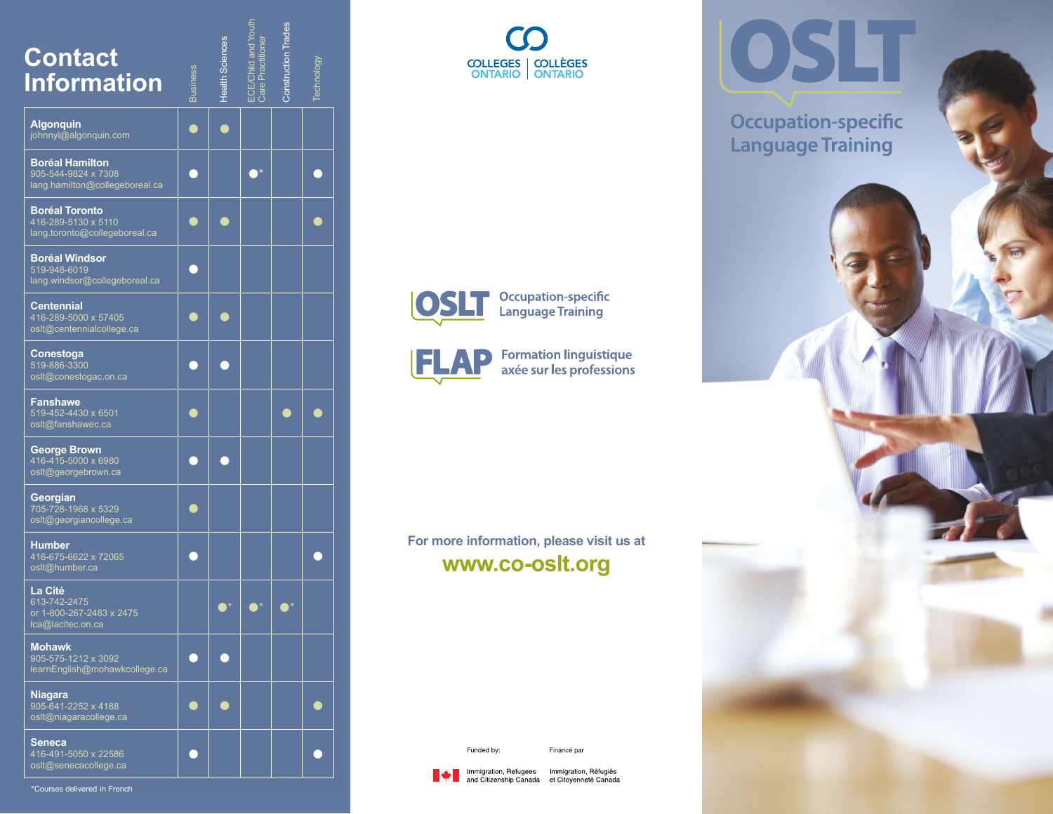| <b>Contact</b><br><b>Information</b>                                            | <b>Business</b> | Health Sciences | ECE/Child and Yout<br>Care Practitioner | <b>Construction Trades</b> | Technology |
|---------------------------------------------------------------------------------|-----------------|-----------------|-----------------------------------------|----------------------------|------------|
| <b>Algonquin</b><br>johnnyl@algonquin.com                                       |                 |                 |                                         |                            |            |
| <b>Boréal Hamilton</b><br>905-544-9824 x 7308<br>lang.hamilton@collegeboreal.ca |                 |                 |                                         |                            |            |
| <b>Boréal Toronto</b><br>416-289-5130 x 5110<br>lang.toronto@collegeboreal.ca   |                 |                 |                                         |                            |            |
| <b>Boréal Windsor</b><br>519-948-6019<br>lang.windsor@collegeboreal.ca          |                 |                 |                                         |                            |            |
| <b>Centennial</b><br>416-289-5000 x 57405<br>osIt@centennialcollege.ca          |                 |                 |                                         |                            |            |
| Conestoga<br>519-886-3300<br>oslt@conestogac.on.ca                              |                 |                 |                                         |                            |            |
| <b>Fanshawe</b><br>519-452-4430 x 6501<br>oslt@fanshawec.ca                     |                 |                 |                                         |                            |            |
| <b>George Brown</b><br>416-415-5000 x 6980<br>oslt@georgebrown.ca               |                 |                 |                                         |                            |            |
| Georgian<br>705-728-1968 x 5329<br>oslt@georgiancollege.ca                      |                 |                 |                                         |                            |            |
| <b>Humber</b><br>416-675-6622 x 72065<br>oslt@humber.ca                         |                 |                 |                                         |                            |            |
| La Cité<br>613-742-2475<br>or 1-800-267-2483 x 2475<br>Ica@lacitec.on.ca        |                 |                 |                                         |                            |            |
| <b>Mohawk</b><br>905-575-1212 x 3092<br>learnEnglish@mohawkcollege.ca           |                 |                 |                                         |                            |            |
| <b>Niagara</b><br>905-641-2252 x 4188<br>oslt@niagaracollege.ca                 |                 |                 |                                         |                            |            |
| <b>Seneca</b><br>416-491-5050 x 22586<br>osit@senecacollege.ca                  |                 |                 |                                         |                            |            |

**COLLEGES** | COLLÈGES<br>
ONTARIO | ONTARIO

OSLT

**Occupation-specific Language Training** 



**Occupation-specific<br>Language Training** 



Formation linguistique<br>axée sur les professions

# **For more information, please visit us at [www.co-oslt.org](http://www.co-oslt.org)**

Funded by:

Financé par



Immigration, Refugees Immigration, Réfugiés and Citizenship Canada et Citoyenneté Canada

\*Courses delivered in French